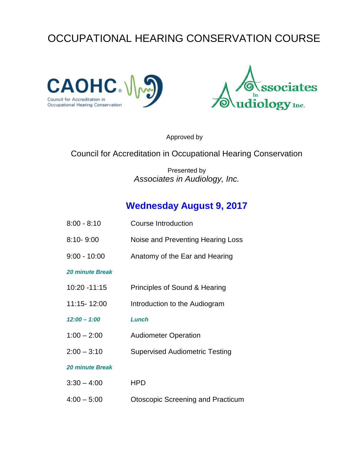# OCCUPATIONAL HEARING CONSERVATION COURSE





Approved by

#### Council for Accreditation in Occupational Hearing Conservation

Presented by *Associates in Audiology, Inc.*

### **Wednesday August 9, 2017**

| 8:00 - 8:10     | <b>Course Introduction</b>            |
|-----------------|---------------------------------------|
| 8:10-9:00       | Noise and Preventing Hearing Loss     |
| $9:00 - 10:00$  | Anatomy of the Ear and Hearing        |
| 20 minute Break |                                       |
| 10:20 -11:15    | Principles of Sound & Hearing         |
| 11:15-12:00     | Introduction to the Audiogram         |
| $12:00 - 1:00$  | <b>Lunch</b>                          |
| $1:00 - 2:00$   | <b>Audiometer Operation</b>           |
| $2:00 - 3:10$   | <b>Supervised Audiometric Testing</b> |
| 20 minute Break |                                       |
| $3:30 - 4:00$   | <b>HPD</b>                            |
|                 |                                       |

4:00 – 5:00 Otoscopic Screening and Practicum